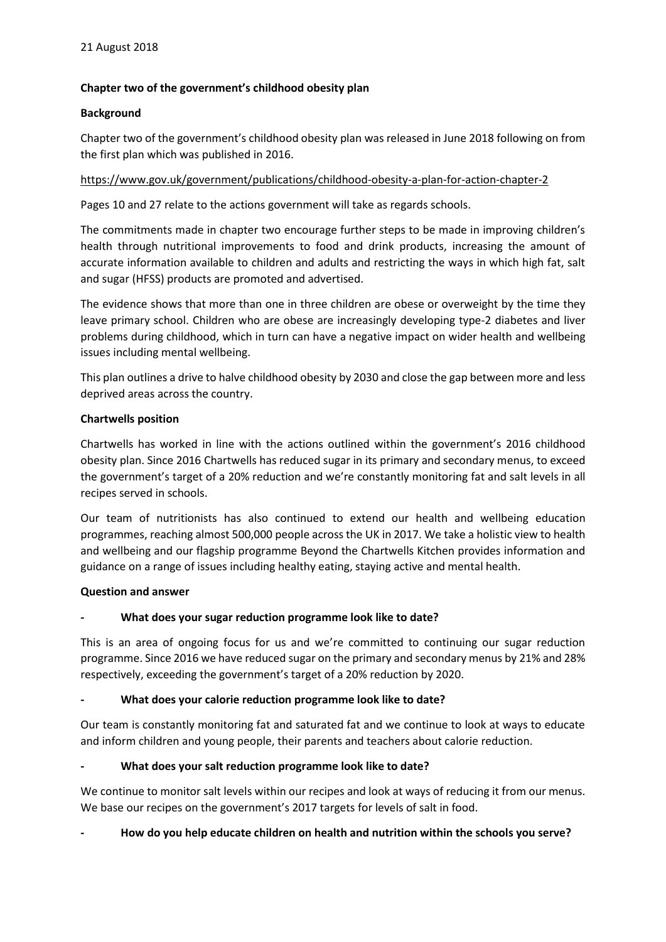## **Chapter two of the government's childhood obesity plan**

### **Background**

Chapter two of the government's childhood obesity plan was released in June 2018 following on from the first plan which was published in 2016.

### <https://www.gov.uk/government/publications/childhood-obesity-a-plan-for-action-chapter-2>

Pages 10 and 27 relate to the actions government will take as regards schools.

The commitments made in chapter two encourage further steps to be made in improving children's health through nutritional improvements to food and drink products, increasing the amount of accurate information available to children and adults and restricting the ways in which high fat, salt and sugar (HFSS) products are promoted and advertised.

The evidence shows that more than one in three children are obese or overweight by the time they leave primary school. Children who are obese are increasingly developing type-2 diabetes and liver problems during childhood, which in turn can have a negative impact on wider health and wellbeing issues including mental wellbeing.

This plan outlines a drive to halve childhood obesity by 2030 and close the gap between more and less deprived areas across the country.

#### **Chartwells position**

Chartwells has worked in line with the actions outlined within the government's 2016 childhood obesity plan. Since 2016 Chartwells has reduced sugar in its primary and secondary menus, to exceed the government's target of a 20% reduction and we're constantly monitoring fat and salt levels in all recipes served in schools.

Our team of nutritionists has also continued to extend our health and wellbeing education programmes, reaching almost 500,000 people across the UK in 2017. We take a holistic view to health and wellbeing and our flagship programme Beyond the Chartwells Kitchen provides information and guidance on a range of issues including healthy eating, staying active and mental health.

### **Question and answer**

### **- What does your sugar reduction programme look like to date?**

This is an area of ongoing focus for us and we're committed to continuing our sugar reduction programme. Since 2016 we have reduced sugar on the primary and secondary menus by 21% and 28% respectively, exceeding the government's target of a 20% reduction by 2020.

### **- What does your calorie reduction programme look like to date?**

Our team is constantly monitoring fat and saturated fat and we continue to look at ways to educate and inform children and young people, their parents and teachers about calorie reduction.

### **- What does your salt reduction programme look like to date?**

We continue to monitor salt levels within our recipes and look at ways of reducing it from our menus. We base our recipes on the government's 2017 targets for levels of salt in food.

### **- How do you help educate children on health and nutrition within the schools you serve?**